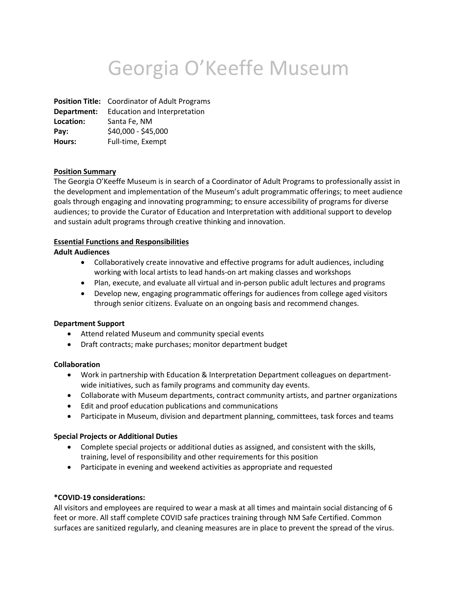# Georgia O'Keeffe Museum

**Position Title:** Coordinator of Adult Programs **Department:** Education and Interpretation **Location:** Santa Fe, NM **Pay:** \$40,000 - \$45,000 **Hours:** Full-time, Exempt

#### **Position Summary**

The Georgia O'Keeffe Museum is in search of a Coordinator of Adult Programs to professionally assist in the development and implementation of the Museum's adult programmatic offerings; to meet audience goals through engaging and innovating programming; to ensure accessibility of programs for diverse audiences; to provide the Curator of Education and Interpretation with additional support to develop and sustain adult programs through creative thinking and innovation.

#### **Essential Functions and Responsibilities**

#### **Adult Audiences**

- Collaboratively create innovative and effective programs for adult audiences, including working with local artists to lead hands-on art making classes and workshops
- Plan, execute, and evaluate all virtual and in-person public adult lectures and programs
- Develop new, engaging programmatic offerings for audiences from college aged visitors through senior citizens. Evaluate on an ongoing basis and recommend changes.

# **Department Support**

- Attend related Museum and community special events
- Draft contracts; make purchases; monitor department budget

# **Collaboration**

- Work in partnership with Education & Interpretation Department colleagues on departmentwide initiatives, such as family programs and community day events.
- Collaborate with Museum departments, contract community artists, and partner organizations
- Edit and proof education publications and communications
- Participate in Museum, division and department planning, committees, task forces and teams

# **Special Projects or Additional Duties**

- Complete special projects or additional duties as assigned, and consistent with the skills, training, level of responsibility and other requirements for this position
- Participate in evening and weekend activities as appropriate and requested

# **\*COVID-19 considerations:**

All visitors and employees are required to wear a mask at all times and maintain social distancing of 6 feet or more. All staff complete COVID safe practices training through NM Safe Certified. Common surfaces are sanitized regularly, and cleaning measures are in place to prevent the spread of the virus.